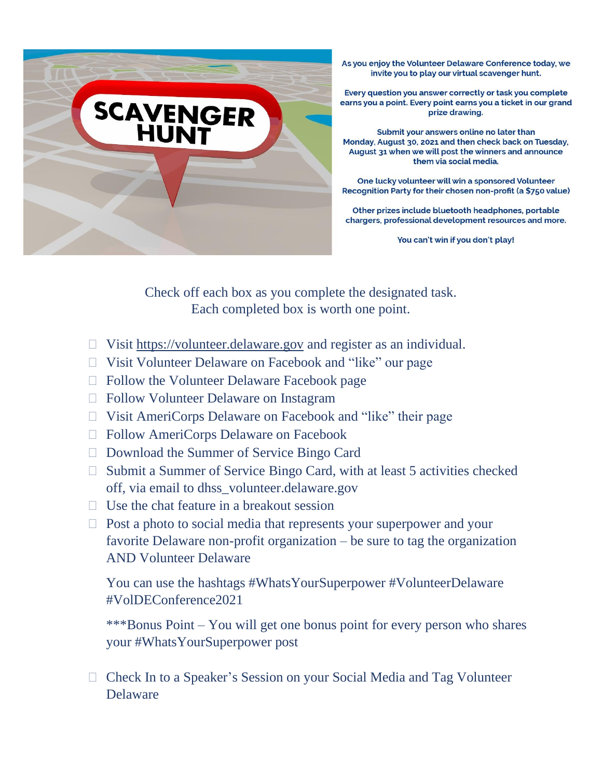

As you enjoy the Volunteer Delaware Conference today, we invite you to play our virtual scavenger hunt.

Every question you answer correctly or task you complete earns you a point. Every point earns you a ticket in our grand prize drawing.

Submit your answers online no later than Monday, August 30, 2021 and then check back on Tuesday, August 31 when we will post the winners and announce them via social media.

One lucky volunteer will win a sponsored Volunteer Recognition Party for their chosen non-profit (a \$750 value)

Other prizes include bluetooth headphones, portable chargers, professional development resources and more.

You can't win if you don't play!

Check off each box as you complete the designated task. Each completed box is worth one point.

- $\Box$  Visit [https://volunteer.delaware.gov](https://volunteer.delaware.gov/) and register as an individual.
- Visit Volunteer Delaware on Facebook and "like" our page
- □ Follow the Volunteer Delaware Facebook page
- □ Follow Volunteer Delaware on Instagram
- Visit AmeriCorps Delaware on Facebook and "like" their page
- Follow AmeriCorps Delaware on Facebook
- □ Download the Summer of Service Bingo Card
- $\Box$  Submit a Summer of Service Bingo Card, with at least 5 activities checked off, via email to dhss\_volunteer.delaware.gov
- $\Box$  Use the chat feature in a breakout session
- $\Box$  Post a photo to social media that represents your superpower and your favorite Delaware non-profit organization – be sure to tag the organization AND Volunteer Delaware

You can use the hashtags #WhatsYourSuperpower #VolunteerDelaware #VolDEConference2021

\*\*\*Bonus Point – You will get one bonus point for every person who shares your #WhatsYourSuperpower post

 Check In to a Speaker's Session on your Social Media and Tag Volunteer Delaware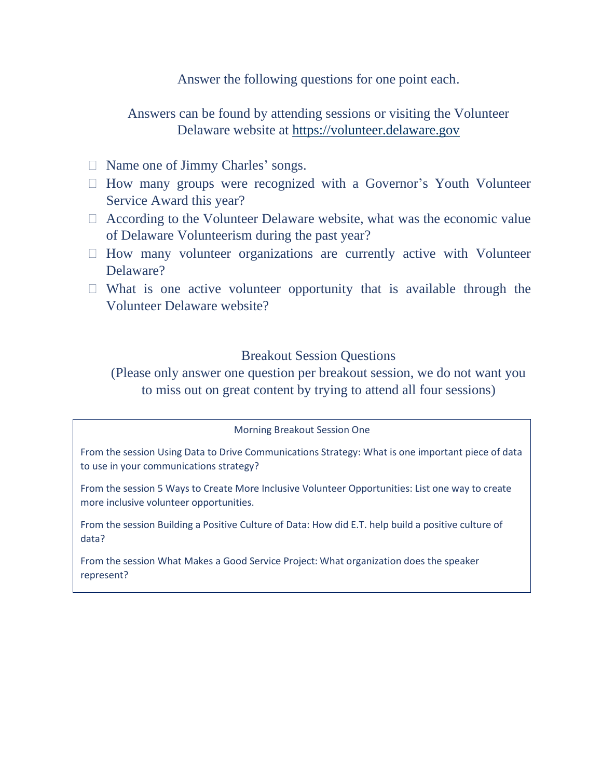Answer the following questions for one point each.

Answers can be found by attending sessions or visiting the Volunteer Delaware website at [https://volunteer.delaware.gov](https://volunteer.delaware.gov/)

- □ Name one of Jimmy Charles' songs.
- $\Box$  How many groups were recognized with a Governor's Youth Volunteer Service Award this year?
- According to the Volunteer Delaware website, what was the economic value of Delaware Volunteerism during the past year?
- $\Box$  How many volunteer organizations are currently active with Volunteer Delaware?
- $\Box$  What is one active volunteer opportunity that is available through the Volunteer Delaware website?

## Breakout Session Questions

(Please only answer one question per breakout session, we do not want you to miss out on great content by trying to attend all four sessions)

Morning Breakout Session One

From the session Using Data to Drive Communications Strategy: What is one important piece of data to use in your communications strategy?

From the session 5 Ways to Create More Inclusive Volunteer Opportunities: List one way to create more inclusive volunteer opportunities.

From the session Building a Positive Culture of Data: How did E.T. help build a positive culture of data?

From the session What Makes a Good Service Project: What organization does the speaker represent?